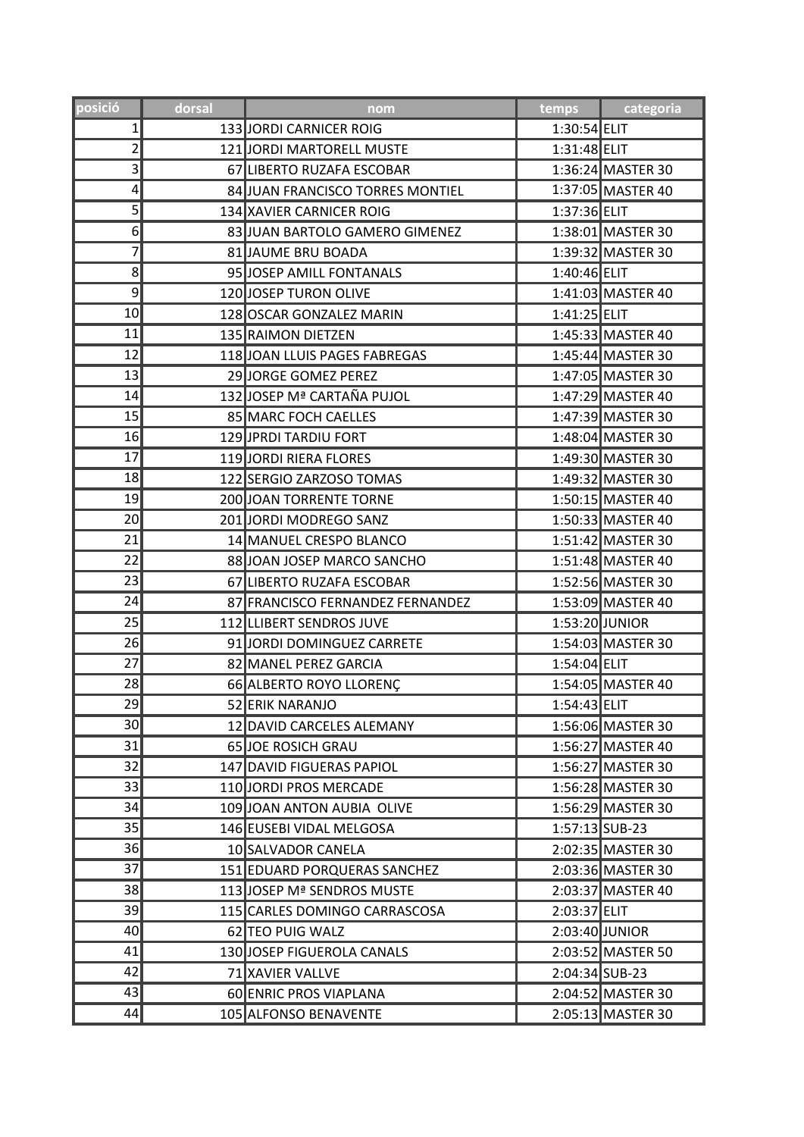| posició         | dorsal | nom                              | temps          | categoria         |
|-----------------|--------|----------------------------------|----------------|-------------------|
| 1               |        | 133 JORDI CARNICER ROIG          | 1:30:54 ELIT   |                   |
| $\overline{2}$  |        | 121JJORDI MARTORELL MUSTE        | 1:31:48 ELIT   |                   |
| 3               |        | 67 LIBERTO RUZAFA ESCOBAR        |                | 1:36:24 MASTER 30 |
| 4               |        | 84 JUAN FRANCISCO TORRES MONTIEL |                | 1:37:05 MASTER 40 |
| 5               |        | 134 XAVIER CARNICER ROIG         | 1:37:36 ELIT   |                   |
| 6               |        | 83 JUAN BARTOLO GAMERO GIMENEZ   |                | 1:38:01 MASTER 30 |
| 7               |        | 81JAUME BRU BOADA                |                | 1:39:32 MASTER 30 |
| 8               |        | 95JJOSEP AMILL FONTANALS         | 1:40:46 ELIT   |                   |
| 9               |        | 120 JOSEP TURON OLIVE            |                | 1:41:03 MASTER 40 |
| 10              |        | 128 OSCAR GONZALEZ MARIN         | 1:41:25 ELIT   |                   |
| 11              |        | 135 RAIMON DIETZEN               |                | 1:45:33 MASTER 40 |
| 12              |        | 118JOAN LLUIS PAGES FABREGAS     |                | 1:45:44 MASTER 30 |
| 13              |        | 29JORGE GOMEZ PEREZ              |                | 1:47:05 MASTER 30 |
| 14              |        | 132JJOSEP Mª CARTAÑA PUJOL       |                | 1:47:29 MASTER 40 |
| 15              |        | 85 MARC FOCH CAELLES             |                | 1:47:39 MASTER 30 |
| 16              |        | 129 JPRDI TARDIU FORT            |                | 1:48:04 MASTER 30 |
| 17              |        | 119JORDI RIERA FLORES            |                | 1:49:30 MASTER 30 |
| 18              |        | 122 SERGIO ZARZOSO TOMAS         |                | 1:49:32 MASTER 30 |
| 19              |        | 200 JOAN TORRENTE TORNE          |                | 1:50:15 MASTER 40 |
| 20              |        | 201JORDI MODREGO SANZ            |                | 1:50:33 MASTER 40 |
| 21              |        | 14 MANUEL CRESPO BLANCO          |                | 1:51:42 MASTER 30 |
| 22              |        | 88 JOAN JOSEP MARCO SANCHO       |                | 1:51:48 MASTER 40 |
| 23              |        | 67 LIBERTO RUZAFA ESCOBAR        |                | 1:52:56 MASTER 30 |
| 24              |        | 87 FRANCISCO FERNANDEZ FERNANDEZ |                | 1:53:09 MASTER 40 |
| $\overline{25}$ |        | 112 LLIBERT SENDROS JUVE         |                | 1:53:20 JUNIOR    |
| 26              |        | 91 JORDI DOMINGUEZ CARRETE       |                | 1:54:03 MASTER 30 |
| 27              |        | 82 MANEL PEREZ GARCIA            | 1:54:04 ELIT   |                   |
| 28              |        | 66 ALBERTO ROYO LLORENÇ          |                | 1:54:05 MASTER 40 |
| $\overline{29}$ |        | 52 ERIK NARANJO                  | $1:54:43$ ELIT |                   |
| 30              |        | 12 DAVID CARCELES ALEMANY        |                | 1:56:06 MASTER 30 |
| 31              |        | 65 JOE ROSICH GRAU               |                | 1:56:27 MASTER 40 |
| 32              |        | 147 DAVID FIGUERAS PAPIOL        |                | 1:56:27 MASTER 30 |
| 33              |        | 110 JORDI PROS MERCADE           |                | 1:56:28 MASTER 30 |
| 34              |        | 109 JOAN ANTON AUBIA OLIVE       |                | 1:56:29 MASTER 30 |
| 35              |        | 146 EUSEBI VIDAL MELGOSA         | 1:57:13 SUB-23 |                   |
| 36              |        | 10 SALVADOR CANELA               |                | 2:02:35 MASTER 30 |
| 37              |        | 151 EDUARD PORQUERAS SANCHEZ     |                | 2:03:36 MASTER 30 |
| 38              |        | 113JJOSEP Mª SENDROS MUSTE       |                | 2:03:37 MASTER 40 |
| 39              |        | 115 CARLES DOMINGO CARRASCOSA    | 2:03:37 ELIT   |                   |
| 40              |        | 62 TEO PUIG WALZ                 |                | 2:03:40 JUNIOR    |
| 41              |        | 130 JOSEP FIGUEROLA CANALS       |                | 2:03:52 MASTER 50 |
| 42              |        | 71 XAVIER VALLVE                 | 2:04:34 SUB-23 |                   |
| 43              |        | 60 ENRIC PROS VIAPLANA           |                | 2:04:52 MASTER 30 |
| 44              |        | 105 ALFONSO BENAVENTE            |                | 2:05:13 MASTER 30 |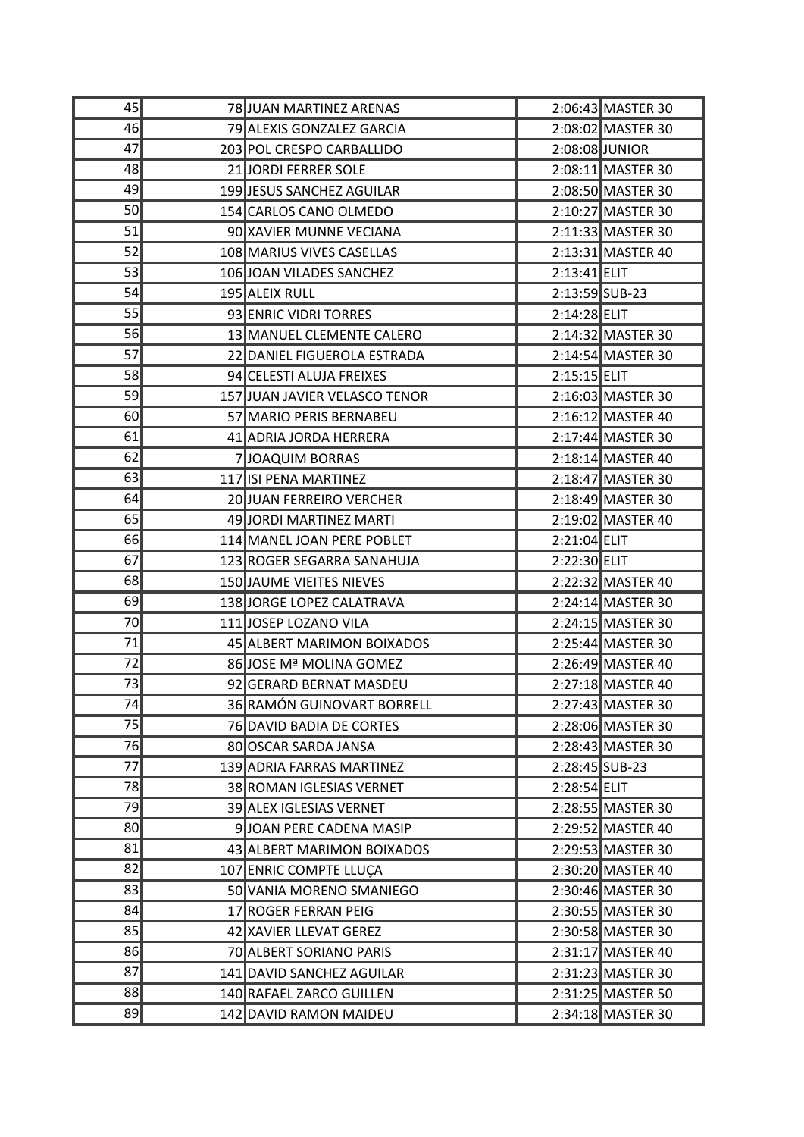| 45              | 78 JUAN MARTINEZ ARENAS       |                | 2:06:43 MASTER 30 |
|-----------------|-------------------------------|----------------|-------------------|
| 46              | 79 ALEXIS GONZALEZ GARCIA     |                | 2:08:02 MASTER 30 |
| 47              | 203 POL CRESPO CARBALLIDO     |                | 2:08:08 JUNIOR    |
| 48              | 21JORDI FERRER SOLE           |                | 2:08:11 MASTER 30 |
| 49              | 199 JESUS SANCHEZ AGUILAR     |                | 2:08:50 MASTER 30 |
| 50              | 154 CARLOS CANO OLMEDO        |                | 2:10:27 MASTER 30 |
| 51              | 90 XAVIER MUNNE VECIANA       |                | 2:11:33 MASTER 30 |
| 52              | 108 MARIUS VIVES CASELLAS     |                | 2:13:31 MASTER 40 |
| 53              | 106 JOAN VILADES SANCHEZ      | $2:13:41$ ELIT |                   |
| 54              | 195 ALEIX RULL                | 2:13:59 SUB-23 |                   |
| 55              | 93 ENRIC VIDRI TORRES         | 2:14:28 ELIT   |                   |
| 56              | 13 MANUEL CLEMENTE CALERO     |                | 2:14:32 MASTER 30 |
| 57              | 22 DANIEL FIGUEROLA ESTRADA   |                | 2:14:54 MASTER 30 |
| 58              | 94 CELESTI ALUJA FREIXES      | $2:15:15$ ELIT |                   |
| 59              | 157 JUAN JAVIER VELASCO TENOR |                | 2:16:03 MASTER 30 |
| 60              | 57 MARIO PERIS BERNABEU       |                | 2:16:12 MASTER 40 |
| 61              | 41 ADRIA JORDA HERRERA        |                | 2:17:44 MASTER 30 |
| 62              | 7JOAQUIM BORRAS               |                | 2:18:14 MASTER 40 |
| 63              | 117 ISI PENA MARTINEZ         |                | 2:18:47 MASTER 30 |
| 64              | 20 JUAN FERREIRO VERCHER      |                | 2:18:49 MASTER 30 |
| 65              | 49 JORDI MARTINEZ MARTI       |                | 2:19:02 MASTER 40 |
| 66              | 114 MANEL JOAN PERE POBLET    | 2:21:04 ELIT   |                   |
| 67              | 123 ROGER SEGARRA SANAHUJA    | 2:22:30 ELIT   |                   |
| 68              | 150 JAUME VIEITES NIEVES      |                | 2:22:32 MASTER 40 |
| 69              | 138JORGE LOPEZ CALATRAVA      |                | 2:24:14 MASTER 30 |
| 70              | 111 JOSEP LOZANO VILA         |                | 2:24:15 MASTER 30 |
| 71              | 45 ALBERT MARIMON BOIXADOS    |                | 2:25:44 MASTER 30 |
| 72              | 86JJOSE Mª MOLINA GOMEZ       |                | 2:26:49 MASTER 40 |
| 73              | 92 GERARD BERNAT MASDEU       |                | 2:27:18 MASTER 40 |
| $\overline{74}$ | 36 RAMÓN GUINOVART BORRELL    |                | 2:27:43 MASTER 30 |
| 75              | 76 DAVID BADIA DE CORTES      |                | 2:28:06 MASTER 30 |
| 76              | 80 OSCAR SARDA JANSA          |                | 2:28:43 MASTER 30 |
| 77              | 139 ADRIA FARRAS MARTINEZ     | 2:28:45 SUB-23 |                   |
| 78              | 38 ROMAN IGLESIAS VERNET      | 2:28:54 ELIT   |                   |
| 79              | 39 ALEX IGLESIAS VERNET       |                | 2:28:55 MASTER 30 |
| 80              | 9JOAN PERE CADENA MASIP       |                | 2:29:52 MASTER 40 |
| 81              | 43 ALBERT MARIMON BOIXADOS    |                | 2:29:53 MASTER 30 |
| 82              | 107 ENRIC COMPTE LLUCA        |                | 2:30:20 MASTER 40 |
| 83              | 50 VANIA MORENO SMANIEGO      |                | 2:30:46 MASTER 30 |
| 84              | 17 ROGER FERRAN PEIG          |                | 2:30:55 MASTER 30 |
| 85              | 42 XAVIER LLEVAT GEREZ        |                | 2:30:58 MASTER 30 |
| 86              | 70 ALBERT SORIANO PARIS       |                | 2:31:17 MASTER 40 |
| 87              | 141 DAVID SANCHEZ AGUILAR     |                | 2:31:23 MASTER 30 |
| 88              | 140 RAFAEL ZARCO GUILLEN      |                | 2:31:25 MASTER 50 |
| 89              | 142 DAVID RAMON MAIDEU        |                | 2:34:18 MASTER 30 |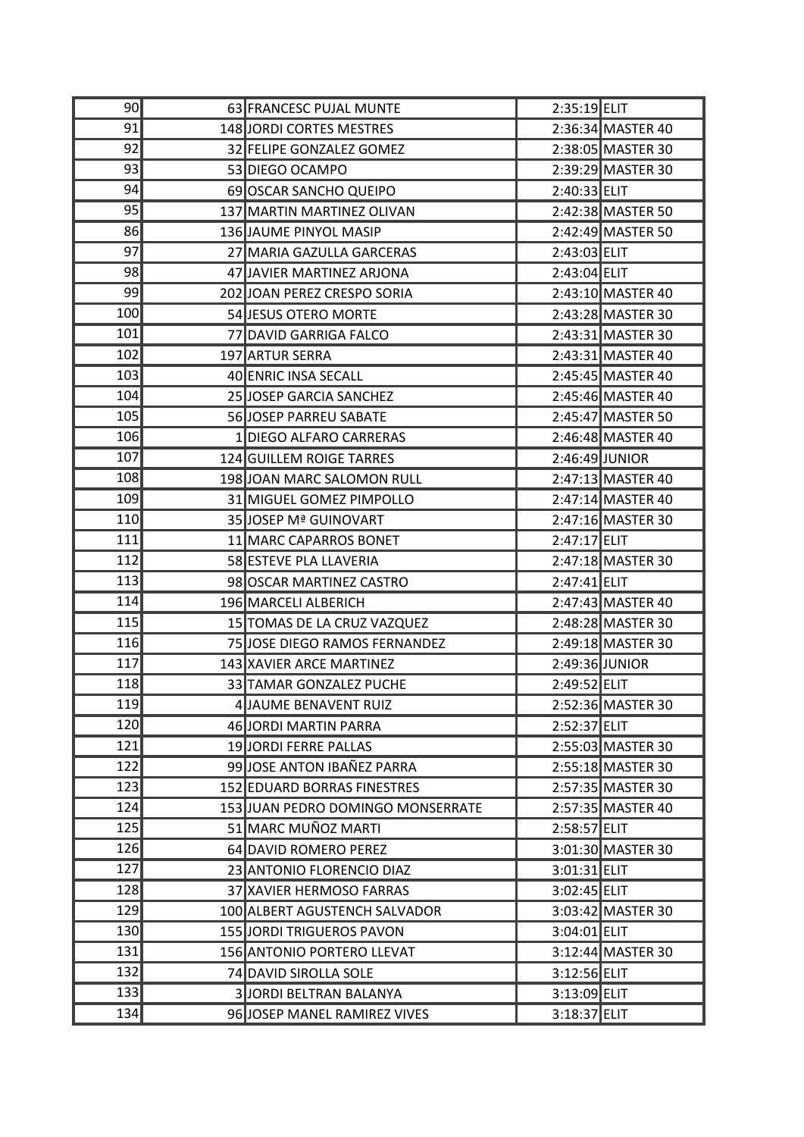| 90  | 63 FRANCESC PUJAL MUNTE           | 2:35:19 ELIT   |                   |
|-----|-----------------------------------|----------------|-------------------|
| 91  | 148 JORDI CORTES MESTRES          |                | 2:36:34 MASTER 40 |
| 92  | 32 FELIPE GONZALEZ GOMEZ          |                | 2:38:05 MASTER 30 |
| 93  | 53 DIEGO OCAMPO                   |                | 2:39:29 MASTER 30 |
| 94  | 69 OSCAR SANCHO QUEIPO            | 2:40:33 ELIT   |                   |
| 95  | 137 MARTIN MARTINEZ OLIVAN        |                | 2:42:38 MASTER 50 |
| 86  | 136JJAUME PINYOL MASIP            |                | 2:42:49 MASTER 50 |
| 97  | 27 MARIA GAZULLA GARCERAS         | 2:43:03 ELIT   |                   |
| 98  | 47 JAVIER MARTINEZ ARJONA         | 2:43:04 ELIT   |                   |
| 99  | 202JJOAN PEREZ CRESPO SORIA       |                | 2:43:10 MASTER 40 |
| 100 | 54 JESUS OTERO MORTE              |                | 2:43:28 MASTER 30 |
| 101 | 77 DAVID GARRIGA FALCO            |                | 2:43:31 MASTER 30 |
| 102 | 197 ARTUR SERRA                   |                | 2:43:31 MASTER 40 |
| 103 | 40 ENRIC INSA SECALL              |                | 2:45:45 MASTER 40 |
| 104 | 25JJOSEP GARCIA SANCHEZ           |                | 2:45:46 MASTER 40 |
| 105 | 56JOSEP PARREU SABATE             |                | 2:45:47 MASTER 50 |
| 106 | 1 DIEGO ALFARO CARRERAS           |                | 2:46:48 MASTER 40 |
| 107 | 124 GUILLEM ROIGE TARRES          | 2:46:49 JUNIOR |                   |
| 108 | 198 JOAN MARC SALOMON RULL        |                | 2:47:13 MASTER 40 |
| 109 | 31 MIGUEL GOMEZ PIMPOLLO          |                | 2:47:14 MASTER 40 |
| 110 | 35JJOSEP Mª GUINOVART             |                | 2:47:16 MASTER 30 |
| 111 | 11 MARC CAPARROS BONET            | 2:47:17 ELIT   |                   |
| 112 | 58 ESTEVE PLA LLAVERIA            |                | 2:47:18 MASTER 30 |
| 113 | 98 OSCAR MARTINEZ CASTRO          | 2:47:41 ELIT   |                   |
| 114 | 196 MARCELI ALBERICH              |                | 2:47:43 MASTER 40 |
| 115 | 15 TOMAS DE LA CRUZ VAZQUEZ       |                | 2:48:28 MASTER 30 |
| 116 | 75JJOSE DIEGO RAMOS FERNANDEZ     |                | 2:49:18 MASTER 30 |
| 117 | 143 XAVIER ARCE MARTINEZ          | 2:49:36 JUNIOR |                   |
| 118 | 33 TAMAR GONZALEZ PUCHE           | 2:49:52 ELIT   |                   |
| 119 | 4JAUME BENAVENT RUIZ              |                | 2:52:36 MASTER 30 |
| 120 | 46 JORDI MARTIN PARRA             | 2:52:37 ELIT   |                   |
| 121 | 19JORDI FERRE PALLAS              |                | 2:55:03 MASTER 30 |
| 122 | 99JJOSE ANTON IBAÑEZ PARRA        |                | 2:55:18 MASTER 30 |
| 123 | 152 EDUARD BORRAS FINESTRES       |                | 2:57:35 MASTER 30 |
| 124 | 153 JUAN PEDRO DOMINGO MONSERRATE |                | 2:57:35 MASTER 40 |
| 125 | 51 MARC MUÑOZ MARTI               | 2:58:57 ELIT   |                   |
| 126 | 64 DAVID ROMERO PEREZ             |                | 3:01:30 MASTER 30 |
| 127 | 23 ANTONIO FLORENCIO DIAZ         | 3:01:31 ELIT   |                   |
| 128 | 37 XAVIER HERMOSO FARRAS          | 3:02:45 ELIT   |                   |
| 129 | 100 ALBERT AGUSTENCH SALVADOR     |                | 3:03:42 MASTER 30 |
| 130 | 155 JORDI TRIGUEROS PAVON         | 3:04:01 ELIT   |                   |
| 131 | 156 ANTONIO PORTERO LLEVAT        |                | 3:12:44 MASTER 30 |
| 132 | 74 DAVID SIROLLA SOLE             | 3:12:56 ELIT   |                   |
| 133 | <b>3JORDI BELTRAN BALANYA</b>     | 3:13:09 ELIT   |                   |
| 134 | 96JOSEP MANEL RAMIREZ VIVES       | 3:18:37 ELIT   |                   |